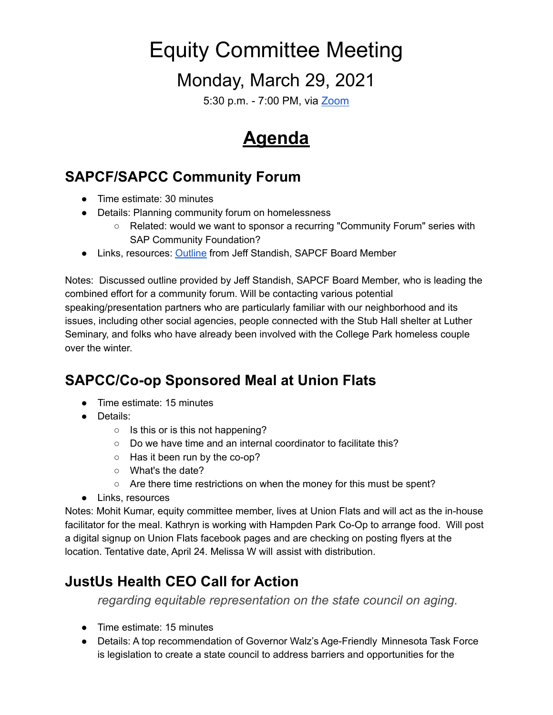# Equity Committee Meeting

### Monday, March 29, 2021

5:30 p.m. - 7:00 PM, via [Zoom](https://zoom.us/j/97382120761?pwd=TEp0WURCRzcwN3hDWlJPQ00relcrZz09)

## **Agenda**

#### **SAPCF/SAPCC Community Forum**

- Time estimate: 30 minutes
- Details: Planning community forum on homelessness
	- Related: would we want to sponsor a recurring "Community Forum" series with SAP Community Foundation?
- Links, resources: [Outline](https://docs.google.com/document/d/1tNyDAs6MK4UkZc6zCA6WIZWBWFnz6b22I4tSVC2CujM/edit?usp=sharing) from Jeff Standish, SAPCF Board Member

Notes: Discussed outline provided by Jeff Standish, SAPCF Board Member, who is leading the combined effort for a community forum. Will be contacting various potential speaking/presentation partners who are particularly familiar with our neighborhood and its issues, including other social agencies, people connected with the Stub Hall shelter at Luther Seminary, and folks who have already been involved with the College Park homeless couple over the winter.

#### **SAPCC/Co-op Sponsored Meal at Union Flats**

- Time estimate: 15 minutes
- Details:
	- $\circ$  Is this or is this not happening?
	- Do we have time and an internal coordinator to facilitate this?
	- Has it been run by the co-op?
	- What's the date?
	- $\circ$  Are there time restrictions on when the money for this must be spent?
- Links, resources

Notes: Mohit Kumar, equity committee member, lives at Union Flats and will act as the in-house facilitator for the meal. Kathryn is working with Hampden Park Co-Op to arrange food. Will post a digital signup on Union Flats facebook pages and are checking on posting flyers at the location. Tentative date, April 24. Melissa W will assist with distribution.

#### **JustUs Health CEO Call for Action**

*regarding equitable representation on the state council on aging.*

- Time estimate: 15 minutes
- Details: A top recommendation of Governor Walz's Age-Friendly Minnesota Task Force is legislation to create a state council to address barriers and opportunities for the